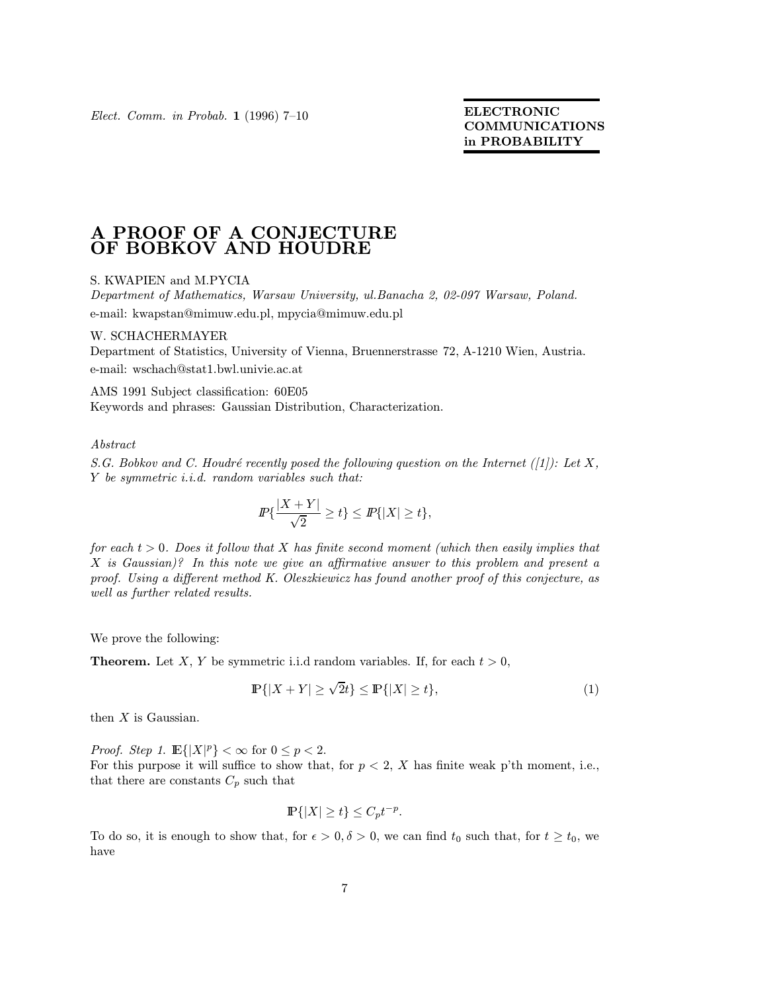Elect. Comm. in Probab. 1 (1996) 7–10 ELECTRONIC

COMMUNICATIONS in PROBABILITY

## A PROOF OF A CONJECTURE OF BOBKOV AND HOUDRE

## S. KWAPIEN and M.PYCIA

Department of Mathematics, Warsaw University, ul.Banacha 2, 02-097 Warsaw, Poland. e-mail: kwapstan@mimuw.edu.pl, mpycia@mimuw.edu.pl

## W. SCHACHERMAYER

Department of Statistics, University of Vienna, Bruennerstrasse 72, A-1210 Wien, Austria. e-mail: wschach@stat1.bwl.univie.ac.at

AMS 1991 Subject classification: 60E05 Keywords and phrases: Gaussian Distribution, Characterization.

Abstract

S.G. Bobkov and C. Houdré recently posed the following question on the Internet  $(|1|)$ : Let X, Y be symmetric i.i.d. random variables such that:

$$
I\!\!P\{\frac{|X+Y|}{\sqrt{2}}\geq t\}\leq I\!\!P\{|X|\geq t\},
$$

for each  $t > 0$ . Does it follow that X has finite second moment (which then easily implies that X is Gaussian)? In this note we give an affirmative answer to this problem and present a proof. Using a different method K. Oleszkiewicz has found another proof of this conjecture, as well as further related results.

We prove the following:

**Theorem.** Let X, Y be symmetric i.i.d random variables. If, for each  $t > 0$ ,

$$
\mathbb{P}\{|X+Y| \ge \sqrt{2}t\} \le \mathbb{P}\{|X| \ge t\},\tag{1}
$$

then  $X$  is Gaussian.

*Proof.* Step 1.  $\mathbb{E}\{|X|^p\} < \infty$  for  $0 \le p < 2$ .

For this purpose it will suffice to show that, for  $p < 2$ , X has finite weak p'th moment, i.e., that there are constants  $C_p$  such that

$$
\mathbb{P}\{|X| \ge t\} \le C_p t^{-p}.
$$

To do so, it is enough to show that, for  $\epsilon > 0, \delta > 0$ , we can find  $t_0$  such that, for  $t \ge t_0$ , we have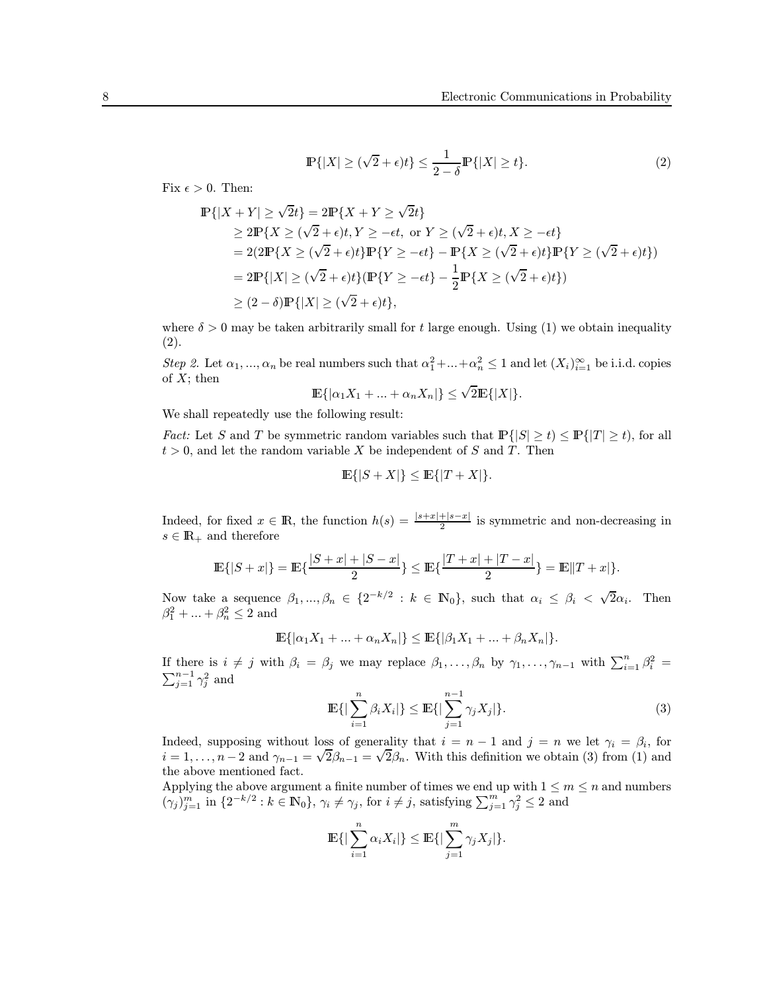$$
\mathbb{P}\{|X| \ge (\sqrt{2} + \epsilon)t\} \le \frac{1}{2 - \delta} \mathbb{P}\{|X| \ge t\}.
$$
 (2)

Fix  $\epsilon > 0$ . Then:

$$
\mathbb{P}\{|X+Y| \ge \sqrt{2}t\} = 2\mathbb{P}\{X+Y \ge \sqrt{2}t\}
$$
\n
$$
\ge 2\mathbb{P}\{X \ge (\sqrt{2}+\epsilon)t, Y \ge -\epsilon t, \text{ or } Y \ge (\sqrt{2}+\epsilon)t, X \ge -\epsilon t\}
$$
\n
$$
= 2(2\mathbb{P}\{X \ge (\sqrt{2}+\epsilon)t\}\mathbb{P}\{Y \ge -\epsilon t\} - \mathbb{P}\{X \ge (\sqrt{2}+\epsilon)t\}\mathbb{P}\{Y \ge (\sqrt{2}+\epsilon)t\})
$$
\n
$$
= 2\mathbb{P}\{|X| \ge (\sqrt{2}+\epsilon)t\}(\mathbb{P}\{Y \ge -\epsilon t\} - \frac{1}{2}\mathbb{P}\{X \ge (\sqrt{2}+\epsilon)t\})
$$
\n
$$
\ge (2-\delta)\mathbb{P}\{|X| \ge (\sqrt{2}+\epsilon)t\},
$$

where  $\delta > 0$  may be taken arbitrarily small for t large enough. Using (1) we obtain inequality (2).

Step 2. Let  $\alpha_1, ..., \alpha_n$  be real numbers such that  $\alpha_1^2 + ... + \alpha_n^2 \leq 1$  and let  $(X_i)_{i=1}^{\infty}$  be i.i.d. copies of  $X$ ; then

$$
\mathbb{E}\{|\alpha_1 X_1 + \dots + \alpha_n X_n|\} \le \sqrt{2} \mathbb{E}\{|X|\}.
$$

We shall repeatedly use the following result:

*Fact:* Let S and T be symmetric random variables such that  $\mathbb{P}\{|S| \ge t\} \le \mathbb{P}\{|T| \ge t\}$ , for all  $t > 0$ , and let the random variable X be independent of S and T. Then

$$
\mathbb{E}\{|S+X|\} \le \mathbb{E}\{|T+X|\}.
$$

Indeed, for fixed  $x \in \mathbb{R}$ , the function  $h(s) = \frac{|s+x|+|s-x|}{2}$  is symmetric and non-decreasing in  $s \in \mathbb{R}_+$  and therefore

$$
\mathbb{E}\{|S+x|\}=\mathbb{E}\{\frac{|S+x|+|S-x|}{2}\}\leq \mathbb{E}\{\frac{|T+x|+|T-x|}{2}\}=\mathbb{E}\|T+x|\}.
$$

Now take a sequence  $\beta_1, ..., \beta_n \in \{2^{-k/2} : k \in \mathbb{N}_0\}$ , such that  $\alpha_i \leq \beta_i < \sqrt{2}\alpha_i$ . Then  $\beta_1^2 + ... + \beta_n^2 \le 2$  and

$$
\mathbb{E}\{|\alpha_1 X_1 + ... + \alpha_n X_n|\} \le \mathbb{E}\{|\beta_1 X_1 + ... + \beta_n X_n|\}.
$$

If there is  $i \neq j$  with  $\beta_i = \beta_j$  we may replace  $\beta_1, \ldots, \beta_n$  by  $\gamma_1, \ldots, \gamma_{n-1}$  with  $\sum_{i=1}^n \beta_i^2 = \sum_{i=1}^{n-1} \gamma_i^2$  and  $\sum_{j=1}^{n-1} \gamma_j^2$  and

$$
\mathbb{E}\{|\sum_{i=1}^{n}\beta_{i}X_{i}|\} \leq \mathbb{E}\{|\sum_{j=1}^{n-1}\gamma_{j}X_{j}|\}.
$$
 (3)

Indeed, supposing without loss of generality that  $i = n - 1$  and  $j = n$  we let  $\gamma_i = \beta_i$ , for indeed, supposing without loss of generality that  $i = n - 1$  and  $j = n$  we let  $\gamma_i = \rho_i$ , for  $i = 1, ..., n - 2$  and  $\gamma_{n-1} = \sqrt{2}\beta_{n-1} = \sqrt{2}\beta_n$ . With this definition we obtain (3) from (1) and the above mentioned fact.

Applying the above argument a finite number of times we end up with  $1 \le m \le n$  and numbers  $(\gamma_j)_{j=1}^m$  in  $\{2^{-k/2} : k \in \mathbb{N}_0\}$ ,  $\gamma_i \neq \gamma_j$ , for  $i \neq j$ , satisfying  $\sum_{j=1}^m \gamma_j^2 \leq 2$  and

$$
\mathbb{E}\left\{\left|\sum_{i=1}^n \alpha_i X_i\right|\right\} \leq \mathbb{E}\left\{\left|\sum_{j=1}^m \gamma_j X_j\right|\right\}.
$$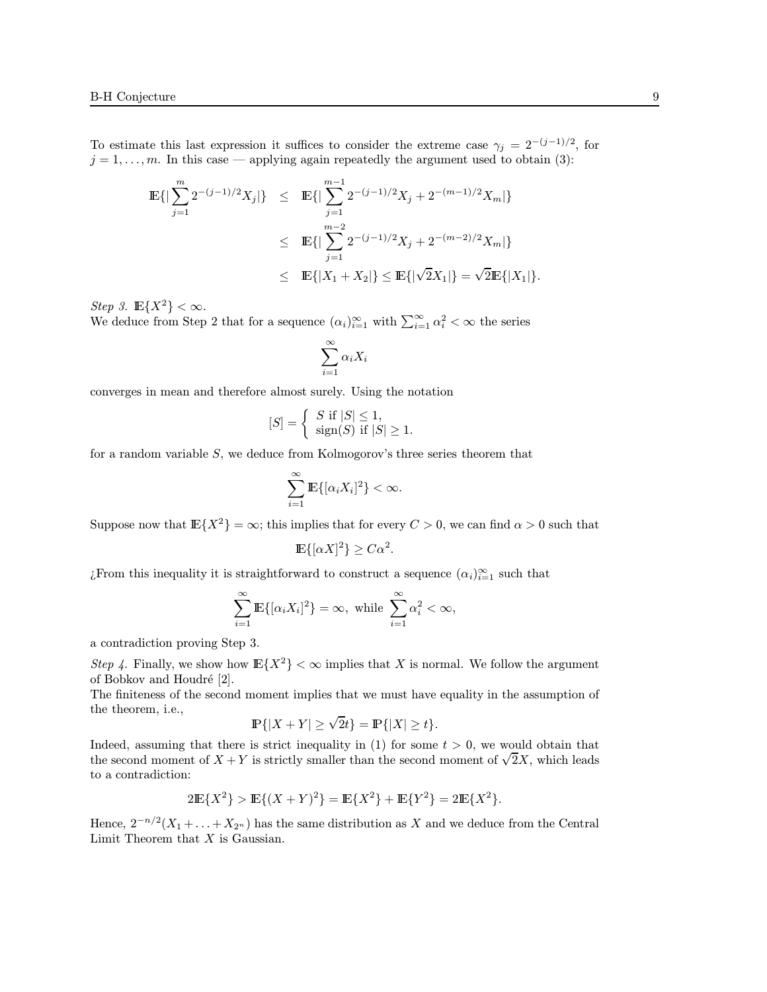To estimate this last expression it suffices to consider the extreme case  $\gamma_j = 2^{-(j-1)/2}$ , for  $j = 1, \ldots, m$ . In this case — applying again repeatedly the argument used to obtain (3):

$$
\mathbb{E}\{|\sum_{j=1}^{m} 2^{-(j-1)/2}X_j|\} \leq \mathbb{E}\{|\sum_{j=1}^{m-1} 2^{-(j-1)/2}X_j + 2^{-(m-1)/2}X_m|\}
$$
  

$$
\leq \mathbb{E}\{|\sum_{j=1}^{m-2} 2^{-(j-1)/2}X_j + 2^{-(m-2)/2}X_m|\}
$$
  

$$
\leq \mathbb{E}\{|X_1 + X_2|\} \leq \mathbb{E}\{|\sqrt{2}X_1|\} = \sqrt{2}\mathbb{E}\{|X_1|\}.
$$

 $Step\ 3.\ \, \mathbb{E}\{X^2\}<\infty.$ We deduce from Step 2 that for a sequence  $(\alpha_i)_{i=1}^{\infty}$  with  $\sum_{i=1}^{\infty} \alpha_i^2 < \infty$  the series

$$
\sum_{i=1}^{\infty} \alpha_i X_i
$$

converges in mean and therefore almost surely. Using the notation

$$
[S] = \begin{cases} S \text{ if } |S| \le 1, \\ \text{sign}(S) \text{ if } |S| \ge 1. \end{cases}
$$

for a random variable S, we deduce from Kolmogorov's three series theorem that

$$
\sum_{i=1}^{\infty} \mathbb{E}\{[\alpha_i X_i]^2\} < \infty.
$$

Suppose now that  $\mathbb{E}\{X^2\} = \infty$ ; this implies that for every  $C > 0$ , we can find  $\alpha > 0$  such that

$$
\mathbb{E}\{[\alpha X]^2\} \ge C\alpha^2.
$$

¿From this inequality it is straightforward to construct a sequence  $(\alpha_i)_{i=1}^{\infty}$  such that

$$
\sum_{i=1}^{\infty} \mathbb{E}\{[\alpha_i X_i]^2\} = \infty, \text{ while } \sum_{i=1}^{\infty} \alpha_i^2 < \infty,
$$

a contradiction proving Step 3.

Step 4. Finally, we show how  $\mathbb{E}\{X^2\} < \infty$  implies that X is normal. We follow the argument of Bobkov and Houdré [2].

The finiteness of the second moment implies that we must have equality in the assumption of the theorem, i.e.,

$$
\mathbb{P}\{|X+Y|\geq \sqrt{2}t\}=\mathbb{P}\{|X|\geq t\}.
$$

Indeed, assuming that there is strict inequality in  $(1)$  for some  $t > 0$ , we would obtain that the second moment of  $X + Y$  is strictly smaller than the second moment of  $\sqrt{2}X$ , which leads to a contradiction:

$$
2\mathbb{E}\{X^2\} > \mathbb{E}\{(X+Y)^2\} = \mathbb{E}\{X^2\} + \mathbb{E}\{Y^2\} = 2\mathbb{E}\{X^2\}.
$$

Hence,  $2^{-n/2}(X_1 + \ldots + X_{2^n})$  has the same distribution as X and we deduce from the Central Limit Theorem that  $X$  is Gaussian.